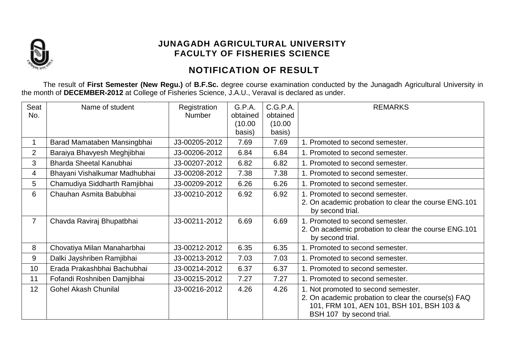

## **NOTIFICATION OF RESULT**

The result of **First Semester (New Regu.)** of **B.F.Sc.** degree course examination conducted by the Junagadh Agricultural University in the month of **DECEMBER-2012** at College of Fisheries Science, J.A.U., Veraval is declared as under.

| Seat           | Name of student               | Registration  | G.P.A.   | C.G.P.A. | <b>REMARKS</b>                                       |
|----------------|-------------------------------|---------------|----------|----------|------------------------------------------------------|
| No.            |                               | <b>Number</b> | obtained | obtained |                                                      |
|                |                               |               | (10.00)  | (10.00)  |                                                      |
|                |                               |               | basis)   | basis)   |                                                      |
|                | Barad Mamataben Mansingbhai   | J3-00205-2012 | 7.69     | 7.69     | 1. Promoted to second semester.                      |
| $\overline{2}$ | Baraiya Bhavyesh Meghjibhai   | J3-00206-2012 | 6.84     | 6.84     | 1. Promoted to second semester.                      |
| 3              | Bharda Sheetal Kanubhai       | J3-00207-2012 | 6.82     | 6.82     | 1. Promoted to second semester.                      |
| 4              | Bhayani Vishalkumar Madhubhai | J3-00208-2012 | 7.38     | 7.38     | 1. Promoted to second semester.                      |
| 5              | Chamudiya Siddharth Ramjibhai | J3-00209-2012 | 6.26     | 6.26     | 1. Promoted to second semester.                      |
| 6              | Chauhan Asmita Babubhai       | J3-00210-2012 | 6.92     | 6.92     | 1. Promoted to second semester.                      |
|                |                               |               |          |          | 2. On academic probation to clear the course ENG.101 |
|                |                               |               |          |          | by second trial.                                     |
| $\overline{7}$ | Chavda Raviraj Bhupatbhai     | J3-00211-2012 | 6.69     | 6.69     | 1. Promoted to second semester.                      |
|                |                               |               |          |          | 2. On academic probation to clear the course ENG.101 |
|                |                               |               |          |          | by second trial.                                     |
| 8              | Chovatiya Milan Manaharbhai   | J3-00212-2012 | 6.35     | 6.35     | 1. Promoted to second semester.                      |
| 9              | Dalki Jayshriben Ramjibhai    | J3-00213-2012 | 7.03     | 7.03     | 1. Promoted to second semester.                      |
| 10             | Erada Prakashbhai Bachubhai   | J3-00214-2012 | 6.37     | 6.37     | 1. Promoted to second semester.                      |
| 11             | Fofandi Roshniben Damjibhai   | J3-00215-2012 | 7.27     | 7.27     | 1. Promoted to second semester.                      |
| 12             | <b>Gohel Akash Chunilal</b>   | J3-00216-2012 | 4.26     | 4.26     | 1. Not promoted to second semester.                  |
|                |                               |               |          |          | 2. On academic probation to clear the course(s) FAQ  |
|                |                               |               |          |          | 101, FRM 101, AEN 101, BSH 101, BSH 103 &            |
|                |                               |               |          |          | BSH 107 by second trial.                             |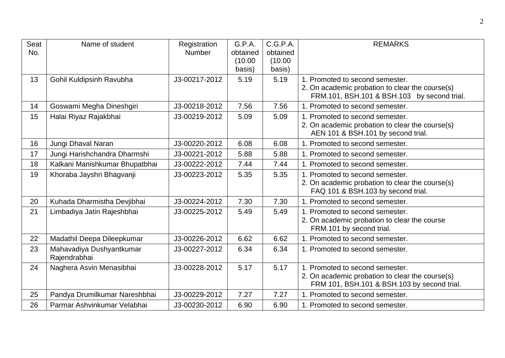| Seat<br>No. | Name of student                          | Registration<br><b>Number</b> | G.P.A.<br>obtained<br>(10.00)<br>basis) | C.G.P.A.<br>obtained<br>(10.00)<br>basis) | <b>REMARKS</b>                                                                                                                    |
|-------------|------------------------------------------|-------------------------------|-----------------------------------------|-------------------------------------------|-----------------------------------------------------------------------------------------------------------------------------------|
| 13          | Gohil Kuldipsinh Ravubha                 | J3-00217-2012                 | 5.19                                    | 5.19                                      | 1. Promoted to second semester.<br>2. On academic probation to clear the course(s)<br>FRM.101, BSH.101 & BSH.103 by second trial. |
| 14          | Goswami Megha Dineshgiri                 | J3-00218-2012                 | 7.56                                    | 7.56                                      | 1. Promoted to second semester.                                                                                                   |
| 15          | Halai Riyaz Rajakbhai                    | J3-00219-2012                 | 5.09                                    | 5.09                                      | 1. Promoted to second semester.<br>2. On academic probation to clear the course(s)<br>AEN 101 & BSH.101 by second trial.          |
| 16          | Jungi Dhaval Naran                       | J3-00220-2012                 | 6.08                                    | 6.08                                      | 1. Promoted to second semester.                                                                                                   |
| 17          | Jungi Harishchandra Dharmshi             | J3-00221-2012                 | 5.88                                    | 5.88                                      | 1. Promoted to second semester.                                                                                                   |
| 18          | Kalkani Manishkumar Bhupatbhai           | J3-00222-2012                 | 7.44                                    | 7.44                                      | 1. Promoted to second semester.                                                                                                   |
| 19          | Khoraba Jayshri Bhagvanji                | J3-00223-2012                 | 5.35                                    | 5.35                                      | 1. Promoted to second semester.<br>2. On academic probation to clear the course(s)<br>FAQ 101 & BSH.103 by second trial.          |
| 20          | Kuhada Dharmistha Devjibhai              | J3-00224-2012                 | 7.30                                    | 7.30                                      | 1. Promoted to second semester.                                                                                                   |
| 21          | Limbadiya Jatin Rajeshbhai               | J3-00225-2012                 | 5.49                                    | 5.49                                      | 1. Promoted to second semester.<br>2. On academic probation to clear the course<br>FRM.101 by second trial.                       |
| 22          | Madathil Deepa Dileepkumar               | J3-00226-2012                 | 6.62                                    | 6.62                                      | 1. Promoted to second semester.                                                                                                   |
| 23          | Mahavadiya Dushyantkumar<br>Rajendrabhai | J3-00227-2012                 | 6.34                                    | 6.34                                      | 1. Promoted to second semester.                                                                                                   |
| 24          | Naghera Asvin Menasibhai                 | J3-00228-2012                 | 5.17                                    | 5.17                                      | 1. Promoted to second semester.<br>2. On academic probation to clear the course(s)<br>FRM 101, BSH.101 & BSH.103 by second trial. |
| 25          | Pandya Drumilkumar Nareshbhai            | J3-00229-2012                 | 7.27                                    | 7.27                                      | 1. Promoted to second semester.                                                                                                   |
| 26          | Parmar Ashvinkumar Velabhai              | J3-00230-2012                 | 6.90                                    | 6.90                                      | 1. Promoted to second semester.                                                                                                   |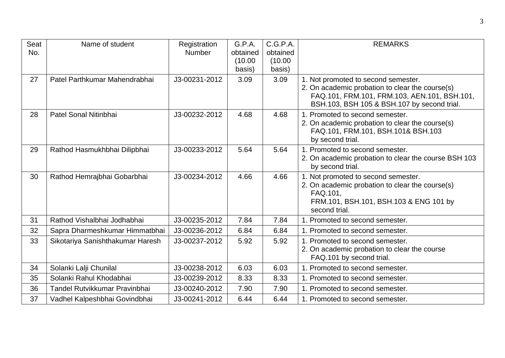| Seat<br>No.<br>27 | Name of student<br>Patel Parthkumar Mahendrabhai | Registration<br><b>Number</b><br>J3-00231-2012 | G.P.A.<br>obtained<br>(10.00<br>basis)<br>3.09 | C.G.P.A.<br>obtained<br>(10.00)<br>basis)<br>3.09 | <b>REMARKS</b><br>1. Not promoted to second semester.                                                                                                         |
|-------------------|--------------------------------------------------|------------------------------------------------|------------------------------------------------|---------------------------------------------------|---------------------------------------------------------------------------------------------------------------------------------------------------------------|
|                   |                                                  |                                                |                                                |                                                   | 2. On academic probation to clear the course(s)<br>FAQ.101, FRM.101, FRM.103, AEN.101, BSH.101,<br>BSH.103, BSH 105 & BSH.107 by second trial.                |
| 28                | Patel Sonal Nitinbhai                            | J3-00232-2012                                  | 4.68                                           | 4.68                                              | 1. Promoted to second semester.<br>2. On academic probation to clear the course(s)<br>FAQ.101, FRM.101, BSH.101& BSH.103<br>by second trial.                  |
| 29                | Rathod Hasmukhbhai Dilipbhai                     | J3-00233-2012                                  | 5.64                                           | 5.64                                              | 1. Promoted to second semester.<br>2. On academic probation to clear the course BSH 103<br>by second trial.                                                   |
| 30                | Rathod Hemrajbhai Gobarbhai                      | J3-00234-2012                                  | 4.66                                           | 4.66                                              | 1. Not promoted to second semester.<br>2. On academic probation to clear the course(s)<br>FAQ.101,<br>FRM.101, BSH.101, BSH.103 & ENG 101 by<br>second trial. |
| 31                | Rathod Vishalbhai Jodhabhai                      | J3-00235-2012                                  | 7.84                                           | 7.84                                              | 1. Promoted to second semester.                                                                                                                               |
| 32                | Sapra Dharmeshkumar Himmatbhai                   | J3-00236-2012                                  | 6.84                                           | 6.84                                              | 1. Promoted to second semester.                                                                                                                               |
| 33                | Sikotariya Sanishthakumar Haresh                 | J3-00237-2012                                  | 5.92                                           | 5.92                                              | 1. Promoted to second semester.<br>2. On academic probation to clear the course<br>FAQ.101 by second trial.                                                   |
| 34                | Solanki Lalji Chunilal                           | J3-00238-2012                                  | 6.03                                           | 6.03                                              | 1. Promoted to second semester.                                                                                                                               |
| 35                | Solanki Rahul Khodabhai                          | J3-00239-2012                                  | 8.33                                           | 8.33                                              | 1. Promoted to second semester.                                                                                                                               |
| 36                | Tandel Rutvikkumar Pravinbhai                    | J3-00240-2012                                  | 7.90                                           | 7.90                                              | 1. Promoted to second semester.                                                                                                                               |
| 37                | Vadhel Kalpeshbhai Govindbhai                    | J3-00241-2012                                  | 6.44                                           | 6.44                                              | 1. Promoted to second semester.                                                                                                                               |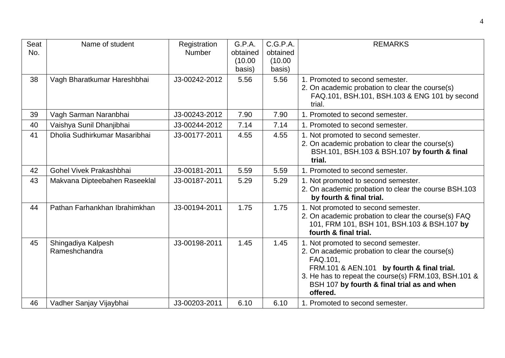| Seat<br>No.<br>38 | Name of student<br>Vagh Bharatkumar Hareshbhai | Registration<br><b>Number</b><br>J3-00242-2012 | G.P.A.<br>obtained<br>(10.00)<br>basis)<br>5.56 | C.G.P.A.<br>obtained<br>(10.00)<br>basis)<br>5.56 | <b>REMARKS</b><br>1. Promoted to second semester.<br>2. On academic probation to clear the course(s)<br>FAQ.101, BSH.101, BSH.103 & ENG 101 by second<br>trial.                                                                                                     |
|-------------------|------------------------------------------------|------------------------------------------------|-------------------------------------------------|---------------------------------------------------|---------------------------------------------------------------------------------------------------------------------------------------------------------------------------------------------------------------------------------------------------------------------|
| 39                | Vagh Sarman Naranbhai                          | J3-00243-2012                                  | 7.90                                            | 7.90                                              | 1. Promoted to second semester.                                                                                                                                                                                                                                     |
| 40                | Vaishya Sunil Dhanjibhai                       | J3-00244-2012                                  | 7.14                                            | 7.14                                              | 1. Promoted to second semester.                                                                                                                                                                                                                                     |
| 41                | Dholia Sudhirkumar Masaribhai                  | J3-00177-2011                                  | 4.55                                            | 4.55                                              | 1. Not promoted to second semester.<br>2. On academic probation to clear the course(s)<br>BSH.101, BSH.103 & BSH.107 by fourth & final<br>trial.                                                                                                                    |
| 42                | Gohel Vivek Prakashbhai                        | J3-00181-2011                                  | 5.59                                            | 5.59                                              | 1. Promoted to second semester.                                                                                                                                                                                                                                     |
| 43                | Makvana Dipteebahen Raseeklal                  | J3-00187-2011                                  | 5.29                                            | 5.29                                              | 1. Not promoted to second semester.<br>2. On academic probation to clear the course BSH.103<br>by fourth & final trial.                                                                                                                                             |
| 44                | Pathan Farhankhan Ibrahimkhan                  | J3-00194-2011                                  | 1.75                                            | 1.75                                              | 1. Not promoted to second semester.<br>2. On academic probation to clear the course(s) FAQ<br>101, FRM 101, BSH 101, BSH.103 & BSH.107 by<br>fourth & final trial.                                                                                                  |
| 45                | Shingadiya Kalpesh<br>Rameshchandra            | J3-00198-2011                                  | 1.45                                            | 1.45                                              | 1. Not promoted to second semester.<br>2. On academic probation to clear the course(s)<br>FAQ.101,<br>FRM.101 & AEN.101 by fourth & final trial.<br>3. He has to repeat the course(s) FRM.103, BSH.101 &<br>BSH 107 by fourth & final trial as and when<br>offered. |
| 46                | Vadher Sanjay Vijaybhai                        | J3-00203-2011                                  | 6.10                                            | 6.10                                              | 1. Promoted to second semester.                                                                                                                                                                                                                                     |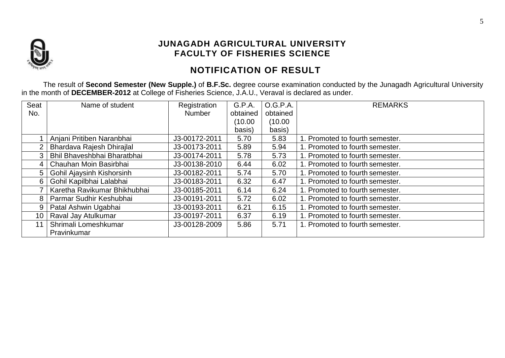

## **NOTIFICATION OF RESULT**

The result of **Second Semester (New Supple.)** of **B.F.Sc.** degree course examination conducted by the Junagadh Agricultural University in the month of **DECEMBER-2012** at College of Fisheries Science, J.A.U., Veraval is declared as under.

| Seat            | Name of student                  | Registration  | G.P.A.   | O.G.P.A. | <b>REMARKS</b>                  |
|-----------------|----------------------------------|---------------|----------|----------|---------------------------------|
| No.             |                                  | <b>Number</b> | obtained | obtained |                                 |
|                 |                                  |               | (10.00   | (10.00   |                                 |
|                 |                                  |               | basis)   | basis)   |                                 |
|                 | Anjani Pritiben Naranbhai        | J3-00172-2011 | 5.70     | 5.83     | 1. Promoted to fourth semester. |
|                 | Bhardava Rajesh Dhirajlal        | J3-00173-2011 | 5.89     | 5.94     | 1. Promoted to fourth semester. |
| 3               | Bhil Bhaveshbhai Bharatbhai      | J3-00174-2011 | 5.78     | 5.73     | 1. Promoted to fourth semester. |
| 4               | Chauhan Moin Basirbhai           | J3-00138-2010 | 6.44     | 6.02     | 1. Promoted to fourth semester. |
| 5               | <b>Gohil Ajaysinh Kishorsinh</b> | J3-00182-2011 | 5.74     | 5.70     | 1. Promoted to fourth semester. |
| 6               | Gohil Kapilbhai Lalabhai         | J3-00183-2011 | 6.32     | 6.47     | 1. Promoted to fourth semester. |
|                 | Karetha Ravikumar Bhikhubhai     | J3-00185-2011 | 6.14     | 6.24     | 1. Promoted to fourth semester. |
| 8               | Parmar Sudhir Keshubhai          | J3-00191-2011 | 5.72     | 6.02     | 1. Promoted to fourth semester. |
| 9               | Patal Ashwin Ugabhai             | J3-00193-2011 | 6.21     | 6.15     | 1. Promoted to fourth semester. |
| 10 <sup>1</sup> | Raval Jay Atulkumar              | J3-00197-2011 | 6.37     | 6.19     | 1. Promoted to fourth semester. |
| 11              | Shrimali Lomeshkumar             | J3-00128-2009 | 5.86     | 5.71     | 1. Promoted to fourth semester. |
|                 | Pravinkumar                      |               |          |          |                                 |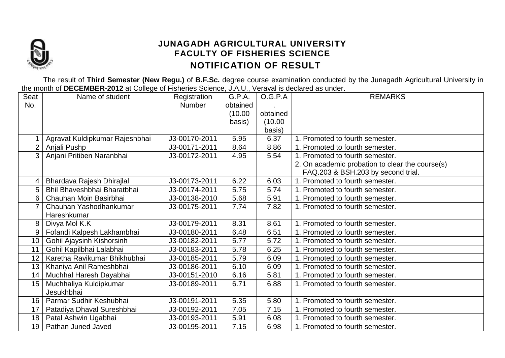

### **JUNAGADH AGRICULTURAL UNIVERSITY FACULTY OF FISHERIES SCIENCE NOTIFICATION OF RESULT**

The result of **Third Semester (New Regu.)** of **B.F.Sc.** degree course examination conducted by the Junagadh Agricultural University in the month of **DECEMBER-2012** at College of Fisheries Science, J.A.U., Veraval is declared as under.

| Seat            | Name of student                | Registration  | G.P.A.   | O.G.P.A  | <b>REMARKS</b>                                  |
|-----------------|--------------------------------|---------------|----------|----------|-------------------------------------------------|
| No.             |                                | <b>Number</b> | obtained |          |                                                 |
|                 |                                |               | (10.00)  | obtained |                                                 |
|                 |                                |               | basis)   | (10.00)  |                                                 |
|                 |                                |               |          | basis)   |                                                 |
|                 | Agravat Kuldipkumar Rajeshbhai | J3-00170-2011 | 5.95     | 6.37     | 1. Promoted to fourth semester.                 |
| 2 <sup>1</sup>  | Anjali Pushp                   | J3-00171-2011 | 8.64     | 8.86     | 1. Promoted to fourth semester.                 |
| 3 <sup>1</sup>  | Anjani Pritiben Naranbhai      | J3-00172-2011 | 4.95     | 5.54     | 1. Promoted to fourth semester.                 |
|                 |                                |               |          |          | 2. On academic probation to clear the course(s) |
|                 |                                |               |          |          | FAQ.203 & BSH.203 by second trial.              |
| 4               | Bhardava Rajesh Dhirajlal      | J3-00173-2011 | 6.22     | 6.03     | . Promoted to fourth semester.                  |
| 5               | Bhil Bhaveshbhai Bharatbhai    | J3-00174-2011 | 5.75     | 5.74     | 1. Promoted to fourth semester.                 |
| 6               | Chauhan Moin Basirbhai         | J3-00138-2010 | 5.68     | 5.91     | 1. Promoted to fourth semester.                 |
|                 | Chauhan Yashodhankumar         | J3-00175-2011 | 7.74     | 7.82     | 1. Promoted to fourth semester.                 |
|                 | Hareshkumar                    |               |          |          |                                                 |
| 8               | Divya Mol K.K                  | J3-00179-2011 | 8.31     | 8.61     | . Promoted to fourth semester.                  |
| 9               | Fofandi Kalpesh Lakhambhai     | J3-00180-2011 | 6.48     | 6.51     | 1. Promoted to fourth semester.                 |
| 10 <sup>°</sup> | Gohil Ajaysinh Kishorsinh      | J3-00182-2011 | 5.77     | 5.72     | 1. Promoted to fourth semester.                 |
| 11              | Gohil Kapilbhai Lalabhai       | J3-00183-2011 | 5.78     | 6.25     | 1. Promoted to fourth semester.                 |
| 12              | Karetha Ravikumar Bhikhubhai   | J3-00185-2011 | 5.79     | 6.09     | 1. Promoted to fourth semester.                 |
| 13 <sup>1</sup> | Khaniya Anil Rameshbhai        | J3-00186-2011 | 6.10     | 6.09     | 1. Promoted to fourth semester.                 |
| 14              | Muchhal Haresh Dayabhai        | J3-00151-2010 | 6.16     | 5.81     | 1. Promoted to fourth semester.                 |
| 15 <sub>1</sub> | Muchhaliya Kuldipkumar         | J3-00189-2011 | 6.71     | 6.88     | 1. Promoted to fourth semester.                 |
|                 | Jesukhbhai                     |               |          |          |                                                 |
| 16 <sup>1</sup> | Parmar Sudhir Keshubhai        | J3-00191-2011 | 5.35     | 5.80     | . Promoted to fourth semester.                  |
| 17              | Patadiya Dhaval Sureshbhai     | J3-00192-2011 | 7.05     | 7.15     | 1. Promoted to fourth semester.                 |
| 18 <sup>°</sup> | Patal Ashwin Ugabhai           | J3-00193-2011 | 5.91     | 6.08     | 1. Promoted to fourth semester.                 |
| 19 <sup>1</sup> | Pathan Juned Javed             | J3-00195-2011 | 7.15     | 6.98     | 1. Promoted to fourth semester.                 |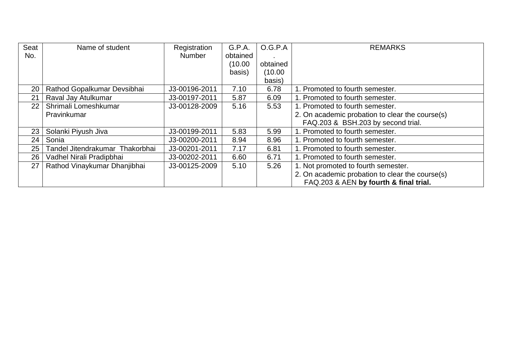| Seat | Name of student                 | Registration  | G.P.A.   | O.G.P.A  | <b>REMARKS</b>                                  |
|------|---------------------------------|---------------|----------|----------|-------------------------------------------------|
| No.  |                                 | <b>Number</b> | obtained |          |                                                 |
|      |                                 |               | (10.00   | obtained |                                                 |
|      |                                 |               | basis)   | (10.00)  |                                                 |
|      |                                 |               |          | basis)   |                                                 |
| 20   | Rathod Gopalkumar Devsibhai     | J3-00196-2011 | 7.10     | 6.78     | 1. Promoted to fourth semester.                 |
| 21   | Raval Jay Atulkumar             | J3-00197-2011 | 5.87     | 6.09     | 1. Promoted to fourth semester.                 |
| 22   | Shrimali Lomeshkumar            | J3-00128-2009 | 5.16     | 5.53     | 1. Promoted to fourth semester.                 |
|      | Pravinkumar                     |               |          |          | 2. On academic probation to clear the course(s) |
|      |                                 |               |          |          | FAQ.203 & BSH.203 by second trial.              |
| 23   | Solanki Piyush Jiva             | J3-00199-2011 | 5.83     | 5.99     | 1. Promoted to fourth semester.                 |
| 24   | Sonia                           | J3-00200-2011 | 8.94     | 8.96     | 1. Promoted to fourth semester.                 |
| 25   | Tandel Jitendrakumar Thakorbhai | J3-00201-2011 | 7.17     | 6.81     | 1. Promoted to fourth semester.                 |
| 26   | Vadhel Nirali Pradipbhai        | J3-00202-2011 | 6.60     | 6.71     | 1. Promoted to fourth semester.                 |
| 27   | Rathod Vinaykumar Dhanjibhai    | J3-00125-2009 | 5.10     | 5.26     | 1. Not promoted to fourth semester.             |
|      |                                 |               |          |          | 2. On academic probation to clear the course(s) |
|      |                                 |               |          |          | FAQ.203 & AEN by fourth & final trial.          |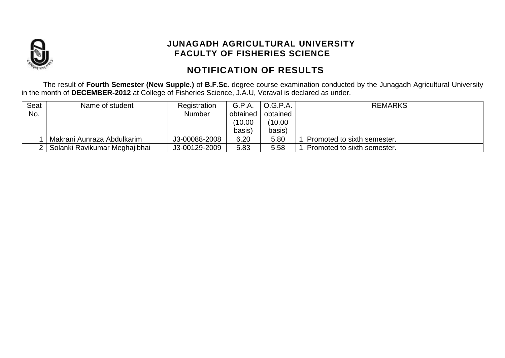

# **NOTIFICATION OF RESULTS**

The result of **Fourth Semester (New Supple.)** of **B.F.Sc.** degree course examination conducted by the Junagadh Agricultural University in the month of **DECEMBER-2012** at College of Fisheries Science, J.A.U, Veraval is declared as under.

| Seat | Name of student               | Registration  | G.P.A.   | O.G.P.A. | <b>REMARKS</b>              |
|------|-------------------------------|---------------|----------|----------|-----------------------------|
| No.  |                               | <b>Number</b> | obtained | obtained |                             |
|      |                               |               | (10.00   | (10.00   |                             |
|      |                               |               | basis)   | basis)   |                             |
|      | Makrani Aunraza Abdulkarim    | J3-00088-2008 | 6.20     | 5.80     | Promoted to sixth semester. |
|      | Solanki Ravikumar Meghajibhai | J3-00129-2009 | 5.83     | 5.58     | Promoted to sixth semester. |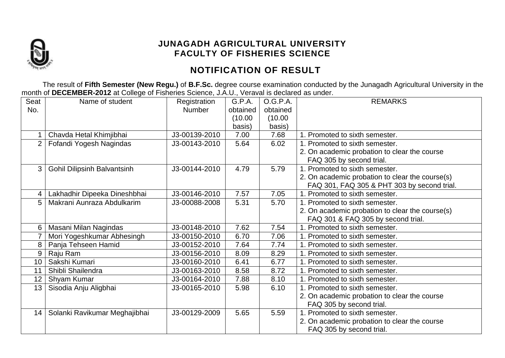

# **NOTIFICATION OF RESULT**

The result of **Fifth Semester (New Regu.)** of **B.F.Sc.** degree course examination conducted by the Junagadh Agricultural University in the month of **DECEMBER-2012** at College of Fisheries Science, J.A.U., Veraval is declared as under.

| Seat            | Name of student                    | Registration  | G.P.A.   | O.G.P.A. | <b>REMARKS</b>                                  |
|-----------------|------------------------------------|---------------|----------|----------|-------------------------------------------------|
| No.             |                                    | <b>Number</b> | obtained | obtained |                                                 |
|                 |                                    |               | (10.00   | (10.00)  |                                                 |
|                 |                                    |               | basis)   | basis)   |                                                 |
|                 | Chavda Hetal Khimjibhai            | J3-00139-2010 | 7.00     | 7.68     | 1. Promoted to sixth semester.                  |
| $\overline{2}$  | Fofandi Yogesh Nagindas            | J3-00143-2010 | 5.64     | 6.02     | 1. Promoted to sixth semester.                  |
|                 |                                    |               |          |          | 2. On academic probation to clear the course    |
|                 |                                    |               |          |          | FAQ 305 by second trial.                        |
| 3               | <b>Gohil Dilipsinh Balvantsinh</b> | J3-00144-2010 | 4.79     | 5.79     | 1. Promoted to sixth semester.                  |
|                 |                                    |               |          |          | 2. On academic probation to clear the course(s) |
|                 |                                    |               |          |          | FAQ 301, FAQ 305 & PHT 303 by second trial.     |
| $\overline{4}$  | Lakhadhir Dipeeka Dineshbhai       | J3-00146-2010 | 7.57     | 7.05     | 1. Promoted to sixth semester.                  |
| 5               | Makrani Aunraza Abdulkarim         | J3-00088-2008 | 5.31     | 5.70     | 1. Promoted to sixth semester.                  |
|                 |                                    |               |          |          | 2. On academic probation to clear the course(s) |
|                 |                                    |               |          |          | FAQ 301 & FAQ 305 by second trial.              |
| 6               | Masani Milan Nagindas              | J3-00148-2010 | 7.62     | 7.54     | 1. Promoted to sixth semester.                  |
|                 | Mori Yogeshkumar Abhesingh         | J3-00150-2010 | 6.70     | 7.06     | 1. Promoted to sixth semester.                  |
| 8               | Panja Tehseen Hamid                | J3-00152-2010 | 7.64     | 7.74     | 1. Promoted to sixth semester.                  |
| 9               | Raju Ram                           | J3-00156-2010 | 8.09     | 8.29     | 1. Promoted to sixth semester.                  |
| 10 <sup>°</sup> | Sakshi Kumari                      | J3-00160-2010 | 6.41     | 6.77     | 1. Promoted to sixth semester.                  |
| 11              | Shibli Shailendra                  | J3-00163-2010 | 8.58     | 8.72     | 1. Promoted to sixth semester.                  |
| 12 <sup>2</sup> | Shyam Kumar                        | J3-00164-2010 | 7.88     | 8.10     | 1. Promoted to sixth semester.                  |
| 13              | Sisodia Anju Aligbhai              | J3-00165-2010 | 5.98     | 6.10     | 1. Promoted to sixth semester.                  |
|                 |                                    |               |          |          | 2. On academic probation to clear the course    |
|                 |                                    |               |          |          | FAQ 305 by second trial.                        |
| 14              | Solanki Ravikumar Meghajibhai      | J3-00129-2009 | 5.65     | 5.59     | 1. Promoted to sixth semester.                  |
|                 |                                    |               |          |          | 2. On academic probation to clear the course    |
|                 |                                    |               |          |          | FAQ 305 by second trial.                        |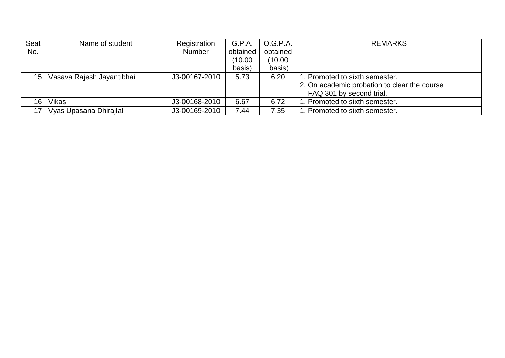| Seat            | Name of student           | Registration  | G.P.A.   | O.G.P.A. | <b>REMARKS</b>                               |
|-----------------|---------------------------|---------------|----------|----------|----------------------------------------------|
| No.             |                           | <b>Number</b> | obtained | obtained |                                              |
|                 |                           |               | (10.00   | (10.00   |                                              |
|                 |                           |               | basis)   | basis)   |                                              |
| 15 <sup>1</sup> | Vasava Rajesh Jayantibhai | J3-00167-2010 | 5.73     | 6.20     | 1. Promoted to sixth semester.               |
|                 |                           |               |          |          | 2. On academic probation to clear the course |
|                 |                           |               |          |          | FAQ 301 by second trial.                     |
| 16              | Vikas                     | J3-00168-2010 | 6.67     | 6.72     | 1. Promoted to sixth semester.               |
| 17              | Vyas Upasana Dhirajlal    | J3-00169-2010 | 7.44     | 7.35     | 1. Promoted to sixth semester.               |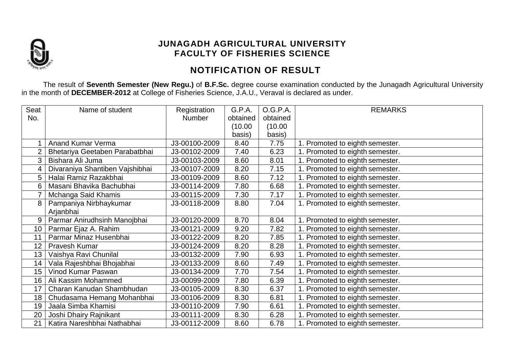

## **NOTIFICATION OF RESULT**

The result of **Seventh Semester (New Regu.)** of **B.F.Sc.** degree course examination conducted by the Junagadh Agricultural University in the month of **DECEMBER-2012** at College of Fisheries Science, J.A.U., Veraval is declared as under.

| Seat            | Name of student                 | Registration  | G.P.A.   | O.G.P.A. | <b>REMARKS</b>                  |
|-----------------|---------------------------------|---------------|----------|----------|---------------------------------|
| No.             |                                 | <b>Number</b> | obtained | obtained |                                 |
|                 |                                 |               | (10.00   | (10.00)  |                                 |
|                 |                                 |               | basis)   | basis)   |                                 |
|                 | <b>Anand Kumar Verma</b>        | J3-00100-2009 | 8.40     | 7.75     | 1. Promoted to eighth semester. |
|                 | Bhetariya Geetaben Parabatbhai  | J3-00102-2009 | 7.40     | 6.23     | 1. Promoted to eighth semester. |
| 3 <sup>1</sup>  | Bishara Ali Juma                | J3-00103-2009 | 8.60     | 8.01     | 1. Promoted to eighth semester. |
| 4               | Divaraniya Shantiben Vajshibhai | J3-00107-2009 | 8.20     | 7.15     | 1. Promoted to eighth semester. |
| 5               | Halai Ramiz Razakbhai           | J3-00109-2009 | 8.60     | 7.12     | 1. Promoted to eighth semester. |
| 6               | Masani Bhavika Bachubhai        | J3-00114-2009 | 7.80     | 6.68     | 1. Promoted to eighth semester. |
|                 | Mchanga Said Khamis             | J3-00115-2009 | 7.30     | 7.17     | 1. Promoted to eighth semester. |
| 8               | Pampaniya Nirbhaykumar          | J3-00118-2009 | 8.80     | 7.04     | 1. Promoted to eighth semester. |
|                 | Arjanbhai                       |               |          |          |                                 |
| 9 <sup>1</sup>  | Parmar Anirudhsinh Manojbhai    | J3-00120-2009 | 8.70     | 8.04     | 1. Promoted to eighth semester. |
|                 | 10   Parmar Ejaz A. Rahim       | J3-00121-2009 | 9.20     | 7.82     | 1. Promoted to eighth semester. |
| 11              | Parmar Minaz Husenbhai          | J3-00122-2009 | 8.20     | 7.85     | 1. Promoted to eighth semester. |
|                 | 12   Pravesh Kumar              | J3-00124-2009 | 8.20     | 8.28     | 1. Promoted to eighth semester. |
| 13 <sup>1</sup> | Vaishya Ravi Chunilal           | J3-00132-2009 | 7.90     | 6.93     | 1. Promoted to eighth semester. |
| 14              | Vala Rajeshbhai Bhojabhai       | J3-00133-2009 | 8.60     | 7.49     | 1. Promoted to eighth semester. |
| 15              | Vinod Kumar Paswan              | J3-00134-2009 | 7.70     | 7.54     | 1. Promoted to eighth semester. |
| 16              | Ali Kassim Mohammed             | J3-00099-2009 | 7.80     | 6.39     | 1. Promoted to eighth semester. |
| 17              | Charan Kanudan Shambhudan       | J3-00105-2009 | 8.30     | 6.37     | 1. Promoted to eighth semester. |
| 18              | Chudasama Hemang Mohanbhai      | J3-00106-2009 | 8.30     | 6.81     | 1. Promoted to eighth semester. |
| 19              | Jaala Simba Khamisi             | J3-00110-2009 | 7.90     | 6.61     | 1. Promoted to eighth semester. |
| 20              | Joshi Dhairy Rajnikant          | J3-00111-2009 | 8.30     | 6.28     | 1. Promoted to eighth semester. |
| 21              | Katira Nareshbhai Nathabhai     | J3-00112-2009 | 8.60     | 6.78     | 1. Promoted to eighth semester. |